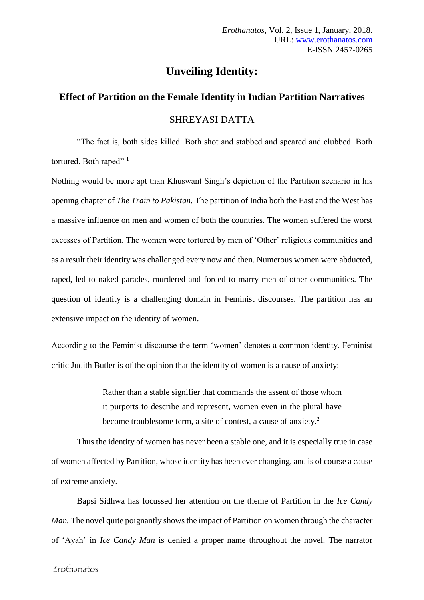# **Unveiling Identity:**

## **Effect of Partition on the Female Identity in Indian Partition Narratives**

### SHREYASI DATTA

"The fact is, both sides killed. Both shot and stabbed and speared and clubbed. Both tortured. Both raped"<sup>1</sup>

Nothing would be more apt than Khuswant Singh's depiction of the Partition scenario in his opening chapter of *The Train to Pakistan.* The partition of India both the East and the West has a massive influence on men and women of both the countries. The women suffered the worst excesses of Partition. The women were tortured by men of 'Other' religious communities and as a result their identity was challenged every now and then. Numerous women were abducted, raped, led to naked parades, murdered and forced to marry men of other communities. The question of identity is a challenging domain in Feminist discourses. The partition has an extensive impact on the identity of women.

According to the Feminist discourse the term 'women' denotes a common identity. Feminist critic Judith Butler is of the opinion that the identity of women is a cause of anxiety:

> Rather than a stable signifier that commands the assent of those whom it purports to describe and represent, women even in the plural have become troublesome term, a site of contest, a cause of anxiety.<sup>2</sup>

Thus the identity of women has never been a stable one, and it is especially true in case of women affected by Partition, whose identity has been ever changing, and is of course a cause of extreme anxiety.

Bapsi Sidhwa has focussed her attention on the theme of Partition in the *Ice Candy Man.* The novel quite poignantly shows the impact of Partition on women through the character of 'Ayah' in *Ice Candy Man* is denied a proper name throughout the novel. The narrator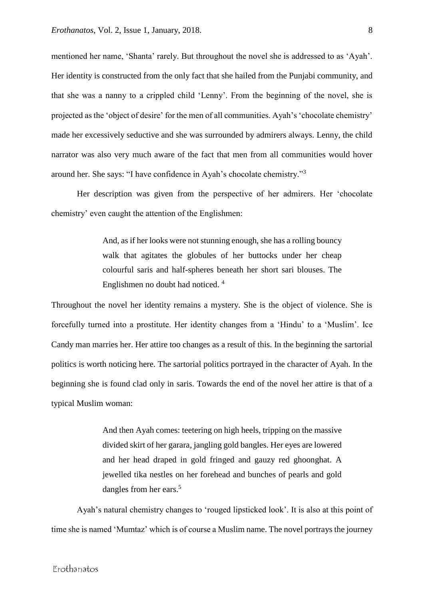mentioned her name, 'Shanta' rarely. But throughout the novel she is addressed to as 'Ayah'. Her identity is constructed from the only fact that she hailed from the Punjabi community, and that she was a nanny to a crippled child 'Lenny'. From the beginning of the novel, she is projected as the 'object of desire' for the men of all communities. Ayah's 'chocolate chemistry' made her excessively seductive and she was surrounded by admirers always. Lenny, the child narrator was also very much aware of the fact that men from all communities would hover around her. She says: "I have confidence in Ayah's chocolate chemistry."<sup>3</sup>

Her description was given from the perspective of her admirers. Her 'chocolate chemistry' even caught the attention of the Englishmen:

> And, as if her looks were not stunning enough, she has a rolling bouncy walk that agitates the globules of her buttocks under her cheap colourful saris and half-spheres beneath her short sari blouses. The Englishmen no doubt had noticed. 4

Throughout the novel her identity remains a mystery. She is the object of violence. She is forcefully turned into a prostitute. Her identity changes from a 'Hindu' to a 'Muslim'. Ice Candy man marries her. Her attire too changes as a result of this. In the beginning the sartorial politics is worth noticing here. The sartorial politics portrayed in the character of Ayah. In the beginning she is found clad only in saris. Towards the end of the novel her attire is that of a typical Muslim woman:

> And then Ayah comes: teetering on high heels, tripping on the massive divided skirt of her garara, jangling gold bangles. Her eyes are lowered and her head draped in gold fringed and gauzy red ghoonghat. A jewelled tika nestles on her forehead and bunches of pearls and gold dangles from her ears.<sup>5</sup>

Ayah's natural chemistry changes to 'rouged lipsticked look'. It is also at this point of time she is named 'Mumtaz' which is of course a Muslim name. The novel portrays the journey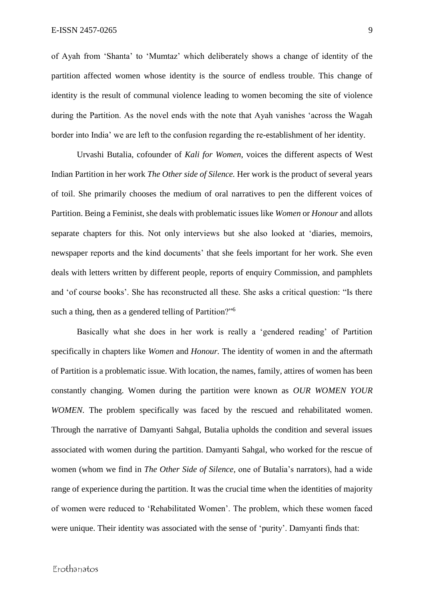of Ayah from 'Shanta' to 'Mumtaz' which deliberately shows a change of identity of the partition affected women whose identity is the source of endless trouble. This change of identity is the result of communal violence leading to women becoming the site of violence during the Partition. As the novel ends with the note that Ayah vanishes 'across the Wagah border into India' we are left to the confusion regarding the re-establishment of her identity.

Urvashi Butalia, cofounder of *Kali for Women*, voices the different aspects of West Indian Partition in her work *The Other side of Silence.* Her work is the product of several years of toil. She primarily chooses the medium of oral narratives to pen the different voices of Partition. Being a Feminist, she deals with problematic issues like *Women* or *Honour* and allots separate chapters for this. Not only interviews but she also looked at 'diaries, memoirs, newspaper reports and the kind documents' that she feels important for her work. She even deals with letters written by different people, reports of enquiry Commission, and pamphlets and 'of course books'. She has reconstructed all these. She asks a critical question: "Is there such a thing, then as a gendered telling of Partition?"<sup>6</sup>

Basically what she does in her work is really a 'gendered reading' of Partition specifically in chapters like *Women* and *Honour.* The identity of women in and the aftermath of Partition is a problematic issue. With location, the names, family, attires of women has been constantly changing. Women during the partition were known as *OUR WOMEN YOUR WOMEN*. The problem specifically was faced by the rescued and rehabilitated women. Through the narrative of Damyanti Sahgal, Butalia upholds the condition and several issues associated with women during the partition. Damyanti Sahgal, who worked for the rescue of women (whom we find in *The Other Side of Silence,* one of Butalia's narrators), had a wide range of experience during the partition. It was the crucial time when the identities of majority of women were reduced to 'Rehabilitated Women'. The problem, which these women faced were unique. Their identity was associated with the sense of 'purity'. Damyanti finds that: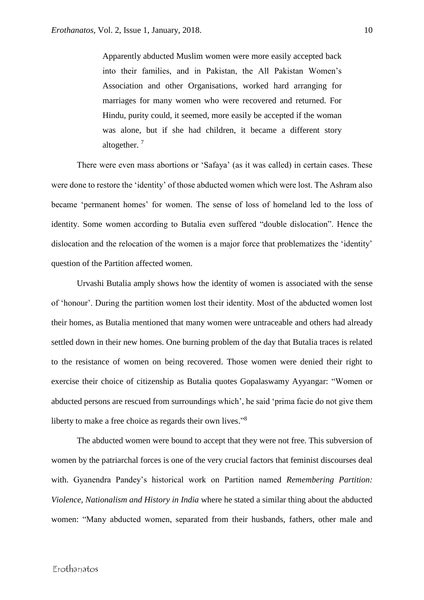Apparently abducted Muslim women were more easily accepted back into their families, and in Pakistan, the All Pakistan Women's Association and other Organisations, worked hard arranging for marriages for many women who were recovered and returned. For Hindu, purity could, it seemed, more easily be accepted if the woman was alone, but if she had children, it became a different story altogether. <sup>7</sup>

There were even mass abortions or 'Safaya' (as it was called) in certain cases. These were done to restore the 'identity' of those abducted women which were lost. The Ashram also became 'permanent homes' for women. The sense of loss of homeland led to the loss of identity. Some women according to Butalia even suffered "double dislocation". Hence the dislocation and the relocation of the women is a major force that problematizes the 'identity' question of the Partition affected women.

Urvashi Butalia amply shows how the identity of women is associated with the sense of 'honour'. During the partition women lost their identity. Most of the abducted women lost their homes, as Butalia mentioned that many women were untraceable and others had already settled down in their new homes. One burning problem of the day that Butalia traces is related to the resistance of women on being recovered. Those women were denied their right to exercise their choice of citizenship as Butalia quotes Gopalaswamy Ayyangar: "Women or abducted persons are rescued from surroundings which', he said 'prima facie do not give them liberty to make a free choice as regards their own lives."<sup>8</sup>

The abducted women were bound to accept that they were not free. This subversion of women by the patriarchal forces is one of the very crucial factors that feminist discourses deal with. Gyanendra Pandey's historical work on Partition named *Remembering Partition: Violence, Nationalism and History in India* where he stated a similar thing about the abducted women: "Many abducted women, separated from their husbands, fathers, other male and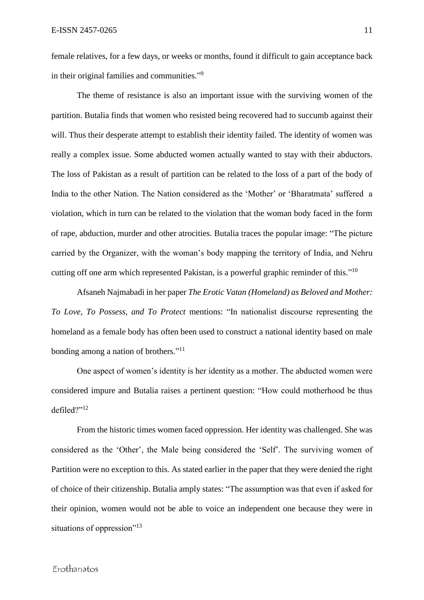female relatives, for a few days, or weeks or months, found it difficult to gain acceptance back in their original families and communities."<sup>9</sup>

The theme of resistance is also an important issue with the surviving women of the partition. Butalia finds that women who resisted being recovered had to succumb against their will. Thus their desperate attempt to establish their identity failed. The identity of women was really a complex issue. Some abducted women actually wanted to stay with their abductors. The loss of Pakistan as a result of partition can be related to the loss of a part of the body of India to the other Nation. The Nation considered as the 'Mother' or 'Bharatmata' suffered a violation, which in turn can be related to the violation that the woman body faced in the form of rape, abduction, murder and other atrocities. Butalia traces the popular image: "The picture carried by the Organizer, with the woman's body mapping the territory of India, and Nehru cutting off one arm which represented Pakistan, is a powerful graphic reminder of this."<sup>10</sup>

Afsaneh Najmabadi in her paper *The Erotic Vatan (Homeland) as Beloved and Mother: To Love, To Possess, and To Protect* mentions: "In nationalist discourse representing the homeland as a female body has often been used to construct a national identity based on male bonding among a nation of brothers."<sup>11</sup>

One aspect of women's identity is her identity as a mother. The abducted women were considered impure and Butalia raises a pertinent question: "How could motherhood be thus defiled?"<sup>12</sup>

From the historic times women faced oppression. Her identity was challenged. She was considered as the 'Other', the Male being considered the 'Self'. The surviving women of Partition were no exception to this. As stated earlier in the paper that they were denied the right of choice of their citizenship. Butalia amply states: "The assumption was that even if asked for their opinion, women would not be able to voice an independent one because they were in situations of oppression"<sup>13</sup>

#### Erothanatos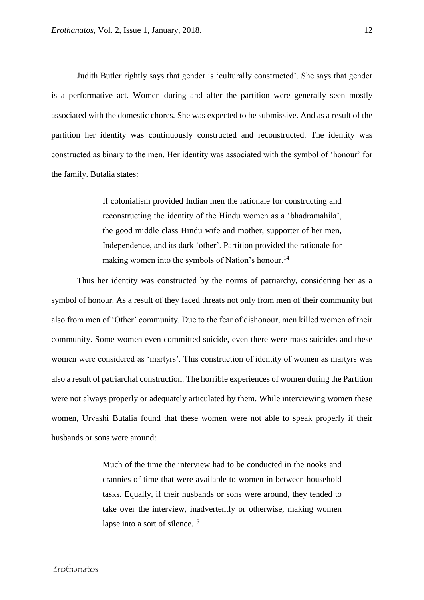Judith Butler rightly says that gender is 'culturally constructed'. She says that gender is a performative act. Women during and after the partition were generally seen mostly associated with the domestic chores. She was expected to be submissive. And as a result of the partition her identity was continuously constructed and reconstructed. The identity was constructed as binary to the men. Her identity was associated with the symbol of 'honour' for the family. Butalia states:

> If colonialism provided Indian men the rationale for constructing and reconstructing the identity of the Hindu women as a 'bhadramahila', the good middle class Hindu wife and mother, supporter of her men, Independence, and its dark 'other'. Partition provided the rationale for making women into the symbols of Nation's honour.<sup>14</sup>

Thus her identity was constructed by the norms of patriarchy, considering her as a symbol of honour. As a result of they faced threats not only from men of their community but also from men of 'Other' community. Due to the fear of dishonour, men killed women of their community. Some women even committed suicide, even there were mass suicides and these women were considered as 'martyrs'. This construction of identity of women as martyrs was also a result of patriarchal construction. The horrible experiences of women during the Partition were not always properly or adequately articulated by them. While interviewing women these women, Urvashi Butalia found that these women were not able to speak properly if their husbands or sons were around:

> Much of the time the interview had to be conducted in the nooks and crannies of time that were available to women in between household tasks. Equally, if their husbands or sons were around, they tended to take over the interview, inadvertently or otherwise, making women lapse into a sort of silence.<sup>15</sup>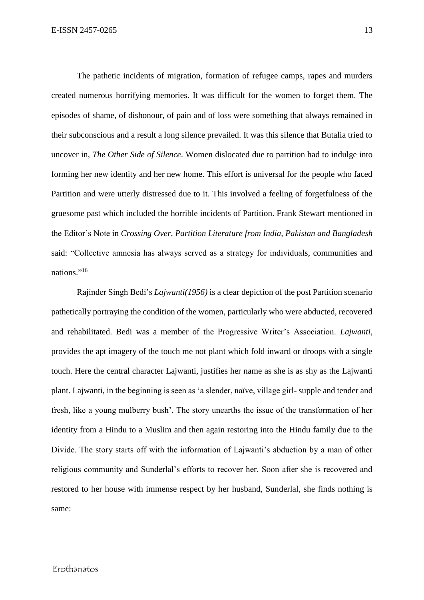The pathetic incidents of migration, formation of refugee camps, rapes and murders created numerous horrifying memories. It was difficult for the women to forget them. The episodes of shame, of dishonour, of pain and of loss were something that always remained in their subconscious and a result a long silence prevailed. It was this silence that Butalia tried to uncover in, *The Other Side of Silence*. Women dislocated due to partition had to indulge into forming her new identity and her new home. This effort is universal for the people who faced Partition and were utterly distressed due to it. This involved a feeling of forgetfulness of the gruesome past which included the horrible incidents of Partition. Frank Stewart mentioned in the Editor's Note in *Crossing Over, Partition Literature from India, Pakistan and Bangladesh*  said: "Collective amnesia has always served as a strategy for individuals, communities and nations."<sup>16</sup>

Rajinder Singh Bedi's *Lajwanti(1956)* is a clear depiction of the post Partition scenario pathetically portraying the condition of the women, particularly who were abducted, recovered and rehabilitated. Bedi was a member of the Progressive Writer's Association. *Lajwanti,*  provides the apt imagery of the touch me not plant which fold inward or droops with a single touch. Here the central character Lajwanti, justifies her name as she is as shy as the Lajwanti plant. Lajwanti, in the beginning is seen as 'a slender, naïve, village girl- supple and tender and fresh, like a young mulberry bush'. The story unearths the issue of the transformation of her identity from a Hindu to a Muslim and then again restoring into the Hindu family due to the Divide. The story starts off with the information of Lajwanti's abduction by a man of other religious community and Sunderlal's efforts to recover her. Soon after she is recovered and restored to her house with immense respect by her husband, Sunderlal, she finds nothing is same: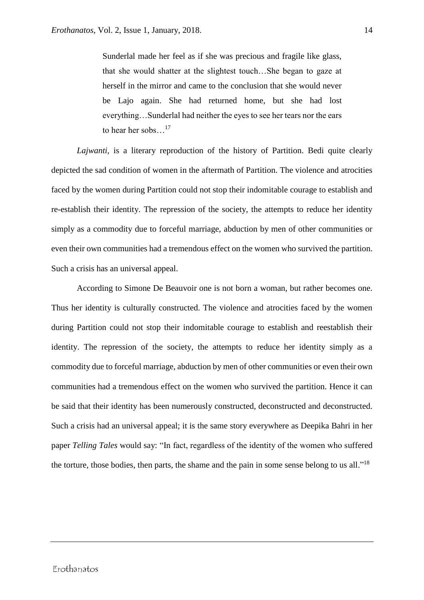Sunderlal made her feel as if she was precious and fragile like glass, that she would shatter at the slightest touch…She began to gaze at herself in the mirror and came to the conclusion that she would never be Lajo again. She had returned home, but she had lost everything…Sunderlal had neither the eyes to see her tears nor the ears to hear her sobs…<sup>17</sup>

*Lajwanti,* is a literary reproduction of the history of Partition. Bedi quite clearly depicted the sad condition of women in the aftermath of Partition. The violence and atrocities faced by the women during Partition could not stop their indomitable courage to establish and re-establish their identity. The repression of the society, the attempts to reduce her identity simply as a commodity due to forceful marriage, abduction by men of other communities or even their own communities had a tremendous effect on the women who survived the partition. Such a crisis has an universal appeal.

According to Simone De Beauvoir one is not born a woman, but rather becomes one. Thus her identity is culturally constructed. The violence and atrocities faced by the women during Partition could not stop their indomitable courage to establish and reestablish their identity. The repression of the society, the attempts to reduce her identity simply as a commodity due to forceful marriage, abduction by men of other communities or even their own communities had a tremendous effect on the women who survived the partition. Hence it can be said that their identity has been numerously constructed, deconstructed and deconstructed. Such a crisis had an universal appeal; it is the same story everywhere as Deepika Bahri in her paper *Telling Tales* would say: "In fact, regardless of the identity of the women who suffered the torture, those bodies, then parts, the shame and the pain in some sense belong to us all."<sup>18</sup>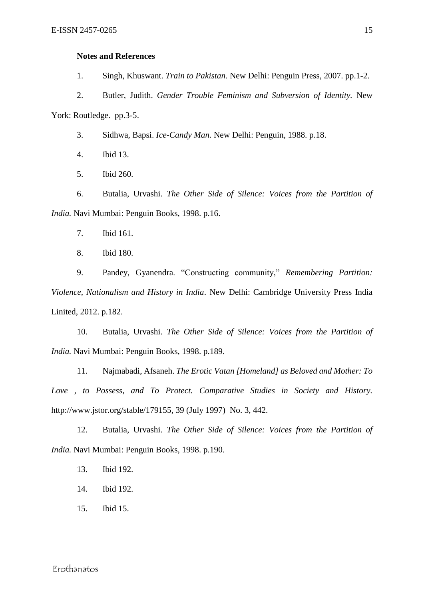#### **Notes and References**

1. Singh, Khuswant. *Train to Pakistan.* New Delhi: Penguin Press, 2007. pp.1-2.

2. Butler, Judith. *Gender Trouble Feminism and Subversion of Identity.* New York: Routledge. pp.3-5.

- 3. Sidhwa, Bapsi. *Ice-Candy Man.* New Delhi: Penguin, 1988. p.18.
- 4. Ibid 13.
- 5. Ibid 260.

6. Butalia, Urvashi. *The Other Side of Silence: Voices from the Partition of India.* Navi Mumbai: Penguin Books, 1998. p.16.

- 7. Ibid 161.
- 8. Ibid 180.

9. Pandey, Gyanendra. "Constructing community," *Remembering Partition: Violence, Nationalism and History in India*. New Delhi: Cambridge University Press India Linited, 2012. p.182.

10. Butalia, Urvashi. *The Other Side of Silence: Voices from the Partition of India.* Navi Mumbai: Penguin Books, 1998. p.189.

11. Najmabadi, Afsaneh. *The Erotic Vatan [Homeland] as Beloved and Mother: To Love , to Possess, and To Protect. Comparative Studies in Society and History.* http://www.jstor.org/stable/179155, 39 (July 1997) No. 3, 442.

12. Butalia, Urvashi. *The Other Side of Silence: Voices from the Partition of India.* Navi Mumbai: Penguin Books, 1998. p.190.

- 13. Ibid 192.
- 14. Ibid 192.
- 15. Ibid 15.